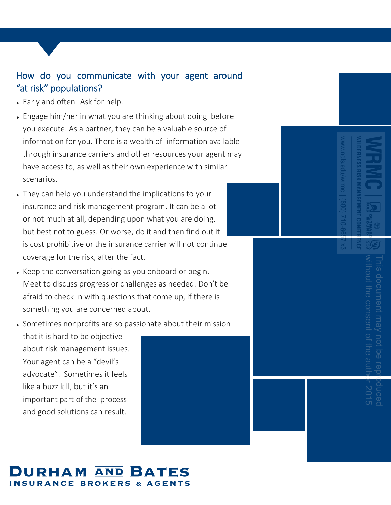#### How do you communicate with your agent around "at risk" populations?

- Early and often! Ask for help.
- Engage him/her in what you are thinking about doing before you execute. As a partner, they can be a valuable source of information for you. There is a wealth of information available through insurance carriers and other resources your agent may have access to, as well as their own experience with similar scenarios.
- They can help you understand the implications to your insurance and risk management program. It can be a lot or not much at all, depending upon what you are doing, but best not to guess. Or worse, do it and then find out it is cost prohibitive or the insurance carrier will not continue coverage for the risk, after the fact.
- Keep the conversation going as you onboard or begin. Meet to discuss progress or challenges as needed. Don't be afraid to check in with questions that come up, if there is something you are concerned about.
- Sometimes nonprofits are so passionate about their mission that it is hard to be objective about risk management issues. Your agent can be a "devil's advocate". Sometimes it feels like a buzz kill, but it's an important part of the process and good solutions can result.



# without the consent of the author 2015 This document may not be reproduced ut the consent of the ocument may not be

### URHAM AND BATES **INSURANCE BROKERS & AGENTS**